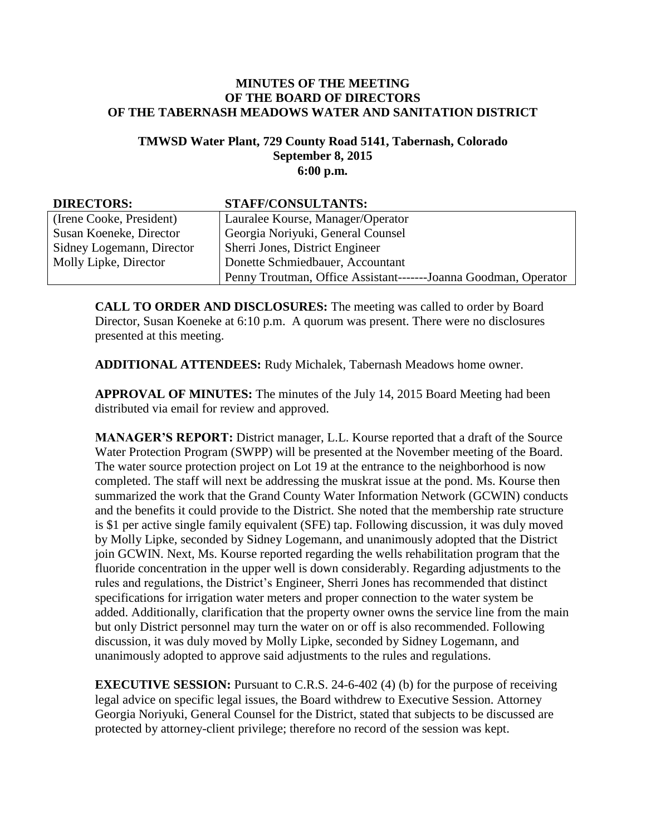## **MINUTES OF THE MEETING OF THE BOARD OF DIRECTORS OF THE TABERNASH MEADOWS WATER AND SANITATION DISTRICT**

## **TMWSD Water Plant, 729 County Road 5141, Tabernash, Colorado September 8, 2015 6:00 p.m.**

| <b>DIRECTORS:</b>         | <b>STAFF/CONSULTANTS:</b>                                       |
|---------------------------|-----------------------------------------------------------------|
| (Irene Cooke, President)  | Lauralee Kourse, Manager/Operator                               |
| Susan Koeneke, Director   | Georgia Noriyuki, General Counsel                               |
| Sidney Logemann, Director | Sherri Jones, District Engineer                                 |
| Molly Lipke, Director     | Donette Schmiedbauer, Accountant                                |
|                           | Penny Troutman, Office Assistant-------Joanna Goodman, Operator |

**CALL TO ORDER AND DISCLOSURES:** The meeting was called to order by Board Director, Susan Koeneke at 6:10 p.m. A quorum was present. There were no disclosures presented at this meeting.

**ADDITIONAL ATTENDEES:** Rudy Michalek, Tabernash Meadows home owner.

**APPROVAL OF MINUTES:** The minutes of the July 14, 2015 Board Meeting had been distributed via email for review and approved.

**MANAGER'S REPORT:** District manager, L.L. Kourse reported that a draft of the Source Water Protection Program (SWPP) will be presented at the November meeting of the Board. The water source protection project on Lot 19 at the entrance to the neighborhood is now completed. The staff will next be addressing the muskrat issue at the pond. Ms. Kourse then summarized the work that the Grand County Water Information Network (GCWIN) conducts and the benefits it could provide to the District. She noted that the membership rate structure is \$1 per active single family equivalent (SFE) tap. Following discussion, it was duly moved by Molly Lipke, seconded by Sidney Logemann, and unanimously adopted that the District join GCWIN. Next, Ms. Kourse reported regarding the wells rehabilitation program that the fluoride concentration in the upper well is down considerably. Regarding adjustments to the rules and regulations, the District's Engineer, Sherri Jones has recommended that distinct specifications for irrigation water meters and proper connection to the water system be added. Additionally, clarification that the property owner owns the service line from the main but only District personnel may turn the water on or off is also recommended. Following discussion, it was duly moved by Molly Lipke, seconded by Sidney Logemann, and unanimously adopted to approve said adjustments to the rules and regulations.

**EXECUTIVE SESSION:** Pursuant to C.R.S. 24-6-402 (4) (b) for the purpose of receiving legal advice on specific legal issues, the Board withdrew to Executive Session. Attorney Georgia Noriyuki, General Counsel for the District, stated that subjects to be discussed are protected by attorney-client privilege; therefore no record of the session was kept.